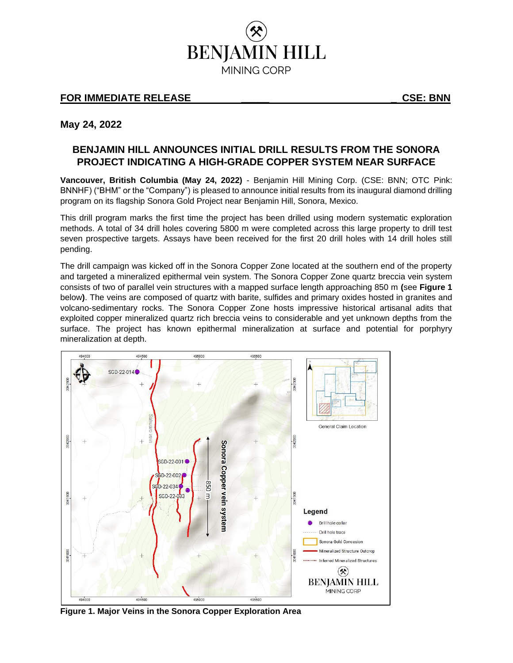

## **FOR IMMEDIATE RELEASE \_\_\_\_\_ \_ CSE: BNN**

**May 24, 2022**

# **BENJAMIN HILL ANNOUNCES INITIAL DRILL RESULTS FROM THE SONORA PROJECT INDICATING A HIGH-GRADE COPPER SYSTEM NEAR SURFACE**

**Vancouver, British Columbia (May 24, 2022)** - Benjamin Hill Mining Corp. (CSE: BNN; OTC Pink: BNNHF) ("BHM" or the "Company") is pleased to announce initial results from its inaugural diamond drilling program on its flagship Sonora Gold Project near Benjamin Hill, Sonora, Mexico.

This drill program marks the first time the project has been drilled using modern systematic exploration methods. A total of 34 drill holes covering 5800 m were completed across this large property to drill test seven prospective targets. Assays have been received for the first 20 drill holes with 14 drill holes still pending.

The drill campaign was kicked off in the Sonora Copper Zone located at the southern end of the property and targeted a mineralized epithermal vein system. The Sonora Copper Zone quartz breccia vein system consists of two of parallel vein structures with a mapped surface length approaching 850 m **(**see **Figure 1**  below**)**. The veins are composed of quartz with barite, sulfides and primary oxides hosted in granites and volcano-sedimentary rocks. The Sonora Copper Zone hosts impressive historical artisanal adits that exploited copper mineralized quartz rich breccia veins to considerable and yet unknown depths from the surface. The project has known epithermal mineralization at surface and potential for porphyry mineralization at depth.



**Figure 1. Major Veins in the Sonora Copper Exploration Area**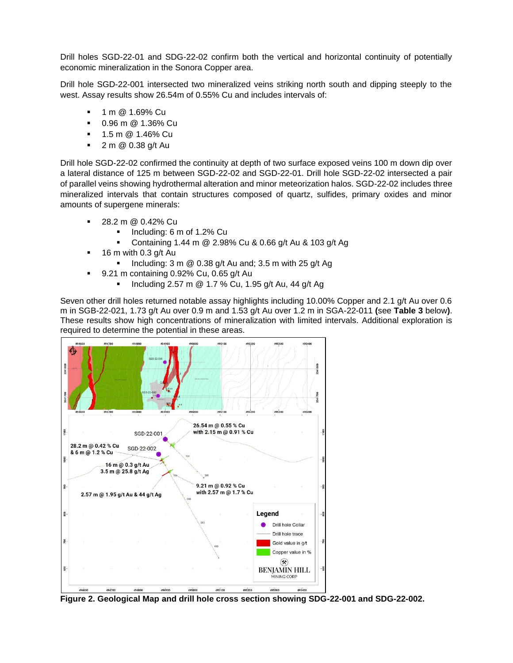Drill holes SGD-22-01 and SDG-22-02 confirm both the vertical and horizontal continuity of potentially economic mineralization in the Sonora Copper area.

Drill hole SGD-22-001 intersected two mineralized veins striking north south and dipping steeply to the west. Assay results show 26.54m of 0.55% Cu and includes intervals of:

- 1 m @ 1.69% Cu
- 0.96 m @ 1.36% Cu
- 1.5 m @ 1.46% Cu
- 2 m @ 0.38 g/t Au

Drill hole SGD-22-02 confirmed the continuity at depth of two surface exposed veins 100 m down dip over a lateral distance of 125 m between SGD-22-02 and SGD-22-01. Drill hole SGD-22-02 intersected a pair of parallel veins showing hydrothermal alteration and minor meteorization halos. SGD-22-02 includes three mineralized intervals that contain structures composed of quartz, sulfides, primary oxides and minor amounts of supergene minerals:

- 28.2 m @ 0.42% Cu
	- Including: 6 m of 1.2% Cu
	- Containing 1.44 m @ 2.98% Cu & 0.66 g/t Au & 103 g/t Ag
- 16 m with 0.3  $q/t$  Au
	- **•** Including: 3 m  $\omega$  0.38 g/t Au and; 3.5 m with 25 g/t Ag
- $\blacksquare$  9.21 m containing 0.92% Cu, 0.65 g/t Au
	- Including 2.57 m @ 1.7 % Cu, 1.95 g/t Au, 44 g/t Ag

Seven other drill holes returned notable assay highlights including 10.00% Copper and 2.1 g/t Au over 0.6 m in SGB-22-021, 1.73 g/t Au over 0.9 m and 1.53 g/t Au over 1.2 m in SGA-22-011 **(**see **Table 3** below**)**. These results show high concentrations of mineralization with limited intervals. Additional exploration is required to determine the potential in these areas.



**Figure 2. Geological Map and drill hole cross section showing SDG-22-001 and SDG-22-002.**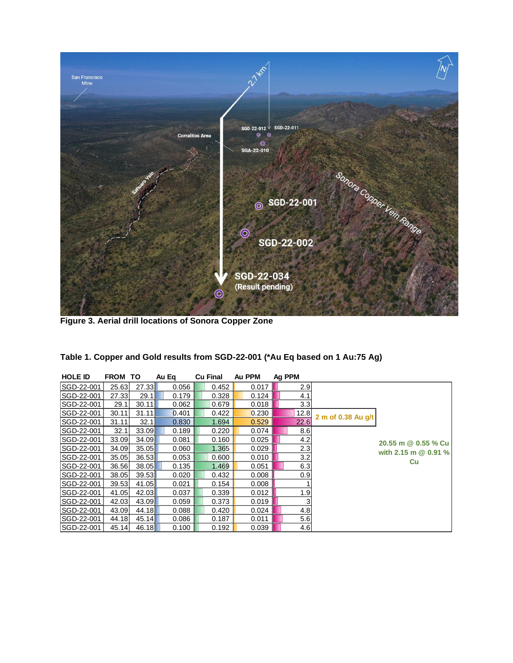

**Figure 3. Aerial drill locations of Sonora Copper Zone**

| <b>HOLE ID</b> | <b>FROM TO</b> |       | Au Eg | <b>Cu Final</b> | Au PPM | Ag PPM |                    |                        |
|----------------|----------------|-------|-------|-----------------|--------|--------|--------------------|------------------------|
| SGD-22-001     | 25.63          | 27.33 | 0.056 | 0.452           | 0.017  | 2.9    |                    |                        |
| SGD-22-001     | 27.33          | 29.1  | 0.179 | 0.328           | 0.124  | 4.1    |                    |                        |
| SGD-22-001     | 29.1           | 30.11 | 0.062 | 0.679           | 0.018  | 3.3    |                    |                        |
| SGD-22-001     | 30.11          | 31.11 | 0.401 | 0.422           | 0.230  | 12.8   | 2 m of 0.38 Au q/t |                        |
| SGD-22-001     | 31.11          | 32.1  | 0.830 | 1.694           | 0.529  | 22.6   |                    |                        |
| SGD-22-001     | 32.1           | 33.09 | 0.189 | 0.220           | 0.074  | 8.6    |                    |                        |
| SGD-22-001     | 33.09          | 34.09 | 0.081 | 0.160           | 0.025  | 4.2    |                    | 20.55 m @ 0.55 % Cu    |
| SGD-22-001     | 34.09          | 35.05 | 0.060 | 1.365           | 0.029  | 2.3    |                    | with 2.15 m $@$ 0.91 % |
| SGD-22-001     | 35.05          | 36.53 | 0.053 | 0.600           | 0.010  | 3.2    |                    | Cu                     |
| SGD-22-001     | 36.56          | 38.05 | 0.135 | 1.469           | 0.051  | 6.3    |                    |                        |
| SGD-22-001     | 38.05          | 39.53 | 0.020 | 0.432           | 0.008  | 0.9    |                    |                        |
| SGD-22-001     | 39.53          | 41.05 | 0.021 | 0.154           | 0.008  |        |                    |                        |
| SGD-22-001     | 41.05          | 42.03 | 0.037 | 0.339           | 0.012  | 1.9    |                    |                        |
| SGD-22-001     | 42.03          | 43.09 | 0.059 | 0.373           | 0.019  | 3      |                    |                        |
| SGD-22-001     | 43.09          | 44.18 | 0.088 | 0.420           | 0.024  | 4.8    |                    |                        |
| SGD-22-001     | 44.18          | 45.14 | 0.086 | 0.187           | 0.011  | 5.6    |                    |                        |
| SGD-22-001     | 45.14          | 46.18 | 0.100 | 0.192           | 0.039  | 4.6    |                    |                        |

| Table 1. Copper and Gold results from SGD-22-001 (*Au Eq based on 1 Au:75 Ag) |  |
|-------------------------------------------------------------------------------|--|
|-------------------------------------------------------------------------------|--|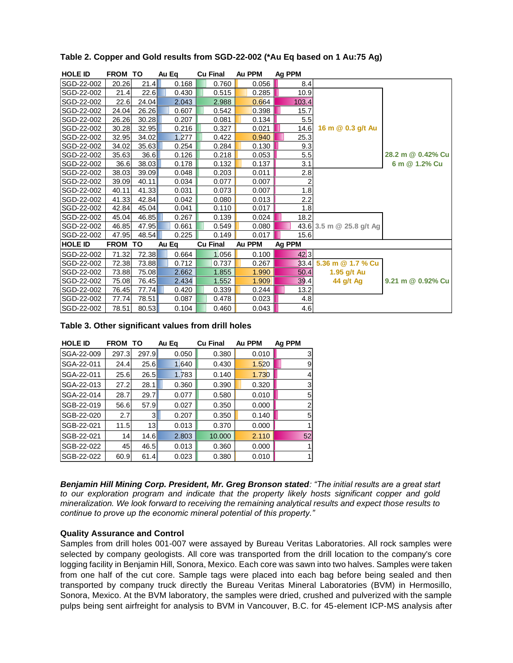| <b>HOLE ID</b>                                                                                                                                                                                                                                                                                                                                                                                                                                                                                                                                                                                                                                                                                                                                                                                                                                                                                                                                                                      | <b>FROM TO</b> |         | Au Eq          | <b>Cu Final</b> | Au PPM         | Ag PPM           |                          |                                                                                                       |
|-------------------------------------------------------------------------------------------------------------------------------------------------------------------------------------------------------------------------------------------------------------------------------------------------------------------------------------------------------------------------------------------------------------------------------------------------------------------------------------------------------------------------------------------------------------------------------------------------------------------------------------------------------------------------------------------------------------------------------------------------------------------------------------------------------------------------------------------------------------------------------------------------------------------------------------------------------------------------------------|----------------|---------|----------------|-----------------|----------------|------------------|--------------------------|-------------------------------------------------------------------------------------------------------|
| SGD-22-002                                                                                                                                                                                                                                                                                                                                                                                                                                                                                                                                                                                                                                                                                                                                                                                                                                                                                                                                                                          | 20.26          | 21.4    | 0.168          | 0.760           | 0.056          | 8.4              |                          |                                                                                                       |
| SGD-22-002                                                                                                                                                                                                                                                                                                                                                                                                                                                                                                                                                                                                                                                                                                                                                                                                                                                                                                                                                                          | 21.4           | 22.6    | 0.430          | 0.515           | 0.285          | 10.9             |                          |                                                                                                       |
| SGD-22-002                                                                                                                                                                                                                                                                                                                                                                                                                                                                                                                                                                                                                                                                                                                                                                                                                                                                                                                                                                          | 22.6           | 24.04   | 2.043          | 2.988           | 0.664          | 103.4            |                          |                                                                                                       |
| SGD-22-002                                                                                                                                                                                                                                                                                                                                                                                                                                                                                                                                                                                                                                                                                                                                                                                                                                                                                                                                                                          | 24.04          | 26.26   | 0.607          | 0.542           | 0.398          | 15.7             |                          |                                                                                                       |
| SGD-22-002                                                                                                                                                                                                                                                                                                                                                                                                                                                                                                                                                                                                                                                                                                                                                                                                                                                                                                                                                                          | 26.26          | 30.28   | 0.207          | 0.081           | 0.134          | 5.5              |                          |                                                                                                       |
| SGD-22-002                                                                                                                                                                                                                                                                                                                                                                                                                                                                                                                                                                                                                                                                                                                                                                                                                                                                                                                                                                          | 30.28          | 32.95   | 0.216          | 0.327           | 0.021          | 14.6             | 16 m @ 0.3 g/t Au        |                                                                                                       |
| SGD-22-002                                                                                                                                                                                                                                                                                                                                                                                                                                                                                                                                                                                                                                                                                                                                                                                                                                                                                                                                                                          | 32.95          | 34.02   | 1.277          | 0.422           | 0.940          | 25.3             |                          |                                                                                                       |
| SGD-22-002                                                                                                                                                                                                                                                                                                                                                                                                                                                                                                                                                                                                                                                                                                                                                                                                                                                                                                                                                                          | 34.02          | 35.63   | 0.254          | 0.284           | 0.130          | 9.3              |                          |                                                                                                       |
| SGD-22-002                                                                                                                                                                                                                                                                                                                                                                                                                                                                                                                                                                                                                                                                                                                                                                                                                                                                                                                                                                          | 35.63          | 36.6    | 0.126          | 0.218           | 0.053          | 5.5              |                          | 28.2 m @ 0.42% Cu                                                                                     |
| SGD-22-002                                                                                                                                                                                                                                                                                                                                                                                                                                                                                                                                                                                                                                                                                                                                                                                                                                                                                                                                                                          | 36.6           | 38.03   | 0.178          | 0.132           | 0.137          | 3.1              |                          | 6 m @ 1.2% Cu                                                                                         |
| SGD-22-002                                                                                                                                                                                                                                                                                                                                                                                                                                                                                                                                                                                                                                                                                                                                                                                                                                                                                                                                                                          | 38.03          | 39.09   | 0.048          | 0.203           | 0.011          | 2.8              |                          |                                                                                                       |
| SGD-22-002                                                                                                                                                                                                                                                                                                                                                                                                                                                                                                                                                                                                                                                                                                                                                                                                                                                                                                                                                                          | 39.09          | 40.11   | 0.034          | 0.077           | 0.007          | $\overline{2}$   |                          |                                                                                                       |
| SGD-22-002                                                                                                                                                                                                                                                                                                                                                                                                                                                                                                                                                                                                                                                                                                                                                                                                                                                                                                                                                                          | 40.11          | 41.33   | 0.031          | 0.073           | 0.007          | 1.8              |                          |                                                                                                       |
| SGD-22-002                                                                                                                                                                                                                                                                                                                                                                                                                                                                                                                                                                                                                                                                                                                                                                                                                                                                                                                                                                          | 41.33          | 42.84   | 0.042          | 0.080           | 0.013          | 2.2              |                          |                                                                                                       |
| SGD-22-002                                                                                                                                                                                                                                                                                                                                                                                                                                                                                                                                                                                                                                                                                                                                                                                                                                                                                                                                                                          | 42.84          | 45.04   | 0.041          | 0.110           | 0.017          | 1.8              |                          |                                                                                                       |
| SGD-22-002                                                                                                                                                                                                                                                                                                                                                                                                                                                                                                                                                                                                                                                                                                                                                                                                                                                                                                                                                                          | 45.04          | 46.85   | 0.267          | 0.139           | 0.024          | 18.2             |                          |                                                                                                       |
| SGD-22-002                                                                                                                                                                                                                                                                                                                                                                                                                                                                                                                                                                                                                                                                                                                                                                                                                                                                                                                                                                          | 46.85          | 47.95   | 0.661          | 0.549           | 0.080          |                  | 43.6 3.5 m @ 25.8 g/t Ag |                                                                                                       |
| SGD-22-002                                                                                                                                                                                                                                                                                                                                                                                                                                                                                                                                                                                                                                                                                                                                                                                                                                                                                                                                                                          | 47.95          | 48.54   | 0.225          | 0.149           | 0.017          | 15.6             |                          |                                                                                                       |
| <b>HOLE ID</b>                                                                                                                                                                                                                                                                                                                                                                                                                                                                                                                                                                                                                                                                                                                                                                                                                                                                                                                                                                      | FROM TO        |         | Au Eq          | <b>Cu Final</b> | Au PPM         | Ag PPM           |                          |                                                                                                       |
| SGD-22-002                                                                                                                                                                                                                                                                                                                                                                                                                                                                                                                                                                                                                                                                                                                                                                                                                                                                                                                                                                          | 71.32          | 72.38   | 0.664          | 1.056           | 0.100          | $42\overline{3}$ |                          |                                                                                                       |
| SGD-22-002                                                                                                                                                                                                                                                                                                                                                                                                                                                                                                                                                                                                                                                                                                                                                                                                                                                                                                                                                                          | 72.38          | 73.88   | 0.712          | 0.737           | 0.267          | 33.4             | 5.36 m @ 1.7 % Cu        |                                                                                                       |
| SGD-22-002                                                                                                                                                                                                                                                                                                                                                                                                                                                                                                                                                                                                                                                                                                                                                                                                                                                                                                                                                                          | 73.88          | 75.08   | 2.662          | 1.855           | 1.990          | 50.4             | 1.95 g/t Au              |                                                                                                       |
| SGD-22-002                                                                                                                                                                                                                                                                                                                                                                                                                                                                                                                                                                                                                                                                                                                                                                                                                                                                                                                                                                          | 75.08          | 76.45   | 2.434          | 1.552           | 1.909          | 39.4             | 44 g/t Ag                | 9.21 m @ 0.92% Cu                                                                                     |
| SGD-22-002                                                                                                                                                                                                                                                                                                                                                                                                                                                                                                                                                                                                                                                                                                                                                                                                                                                                                                                                                                          | 76.45          | 77.74   | 0.420          | 0.339           | 0.244          | 13.2             |                          |                                                                                                       |
| SGD-22-002                                                                                                                                                                                                                                                                                                                                                                                                                                                                                                                                                                                                                                                                                                                                                                                                                                                                                                                                                                          | 77.74          | 78.51   | 0.087          | 0.478           | 0.023          | 4.8              |                          |                                                                                                       |
| SGD-22-002                                                                                                                                                                                                                                                                                                                                                                                                                                                                                                                                                                                                                                                                                                                                                                                                                                                                                                                                                                          | 78.51          | 80.53   | 0.104          | 0.460           | 0.043          | 4.6              |                          |                                                                                                       |
| <b>HOLE ID</b>                                                                                                                                                                                                                                                                                                                                                                                                                                                                                                                                                                                                                                                                                                                                                                                                                                                                                                                                                                      | <b>FROM TO</b> |         | Au Eq          | <b>Cu Final</b> | Au PPM         | Ag PPM           |                          |                                                                                                       |
| SGA-22-009                                                                                                                                                                                                                                                                                                                                                                                                                                                                                                                                                                                                                                                                                                                                                                                                                                                                                                                                                                          | 297.3          | 297.9   | 0.050          | 0.380           | 0.010          | 3                |                          |                                                                                                       |
| SGA-22-011                                                                                                                                                                                                                                                                                                                                                                                                                                                                                                                                                                                                                                                                                                                                                                                                                                                                                                                                                                          | 24.4           | 25.6    | 1,640          | 0.430           | 1.520          | 9                |                          |                                                                                                       |
| SGA-22-011                                                                                                                                                                                                                                                                                                                                                                                                                                                                                                                                                                                                                                                                                                                                                                                                                                                                                                                                                                          | 25.6           | 26.5    | 1.783          | 0.140           | 1.730          | 4                |                          |                                                                                                       |
| SGA-22-013                                                                                                                                                                                                                                                                                                                                                                                                                                                                                                                                                                                                                                                                                                                                                                                                                                                                                                                                                                          | 27.2           | 28.1    | 0.360          | 0.390           | 0.320          | 3<br>5           |                          |                                                                                                       |
| SGA-22-014                                                                                                                                                                                                                                                                                                                                                                                                                                                                                                                                                                                                                                                                                                                                                                                                                                                                                                                                                                          | 28.7           | 29.7    | 0.077          | 0.580           | 0.010          | $\overline{c}$   |                          |                                                                                                       |
| SGB-22-019                                                                                                                                                                                                                                                                                                                                                                                                                                                                                                                                                                                                                                                                                                                                                                                                                                                                                                                                                                          | 56.6           | 57.9    | 0.027          | 0.350           | 0.000          |                  |                          |                                                                                                       |
| SGB-22-020<br>SGB-22-021                                                                                                                                                                                                                                                                                                                                                                                                                                                                                                                                                                                                                                                                                                                                                                                                                                                                                                                                                            | 2.7<br>11.5    | 3<br>13 | 0.207<br>0.013 | 0.350<br>0.370  | 0.140<br>0.000 | 5                |                          |                                                                                                       |
| SGB-22-021                                                                                                                                                                                                                                                                                                                                                                                                                                                                                                                                                                                                                                                                                                                                                                                                                                                                                                                                                                          | 14             | 14.6    | 2.803          | 10.000          | 2.110          | 52               |                          |                                                                                                       |
| SGB-22-022                                                                                                                                                                                                                                                                                                                                                                                                                                                                                                                                                                                                                                                                                                                                                                                                                                                                                                                                                                          | 45             | 46.5    | 0.013          | 0.360           | 0.000          |                  |                          |                                                                                                       |
|                                                                                                                                                                                                                                                                                                                                                                                                                                                                                                                                                                                                                                                                                                                                                                                                                                                                                                                                                                                     |                |         |                |                 |                |                  |                          |                                                                                                       |
| SGB-22-022                                                                                                                                                                                                                                                                                                                                                                                                                                                                                                                                                                                                                                                                                                                                                                                                                                                                                                                                                                          | 60.9           | 61.4    | 0.023          | 0.380           | 0.010          |                  |                          |                                                                                                       |
| Benjamin Hill Mining Corp. President, Mr. Greg Bronson stated: "The initial results are a great start<br>to our exploration program and indicate that the property likely hosts significant copper and gold<br>mineralization. We look forward to receiving the remaining analytical results and expect those results to<br>continue to prove up the economic mineral potential of this property."<br><b>Quality Assurance and Control</b><br>Samples from drill holes 001-007 were assayed by Bureau Veritas Laboratories. All rock samples were<br>selected by company geologists. All core was transported from the drill location to the company's core<br>logging facility in Benjamin Hill, Sonora, Mexico. Each core was sawn into two halves. Samples were taken<br>from one half of the cut core. Sample tags were placed into each bag before being sealed and then<br>transported by company truck directly the Bureau Veritas Mineral Laboratories (BVM) in Hermosillo, |                |         |                |                 |                |                  |                          |                                                                                                       |
|                                                                                                                                                                                                                                                                                                                                                                                                                                                                                                                                                                                                                                                                                                                                                                                                                                                                                                                                                                                     |                |         |                |                 |                |                  |                          |                                                                                                       |
|                                                                                                                                                                                                                                                                                                                                                                                                                                                                                                                                                                                                                                                                                                                                                                                                                                                                                                                                                                                     |                |         |                |                 |                |                  |                          | Sonora, Mexico. At the BVM laboratory, the samples were dried, crushed and pulverized with the sample |

**Table 2. Copper and Gold results from SGD-22-002 (\*Au Eq based on 1 Au:75 Ag)**

### **Table 3. Other significant values from drill holes**

| <b>HOLE ID</b> | <b>FROM</b> | ΤO    | Au Eg | <b>Cu Final</b> | Au PPM | Ag PPM |
|----------------|-------------|-------|-------|-----------------|--------|--------|
| SGA-22-009     | 297.3       | 297.9 | 0.050 | 0.380           | 0.010  | 3      |
| SGA-22-011     | 24.4        | 25.6  | 1,640 | 0.430           | 1.520  | 9      |
| SGA-22-011     | 25.6        | 26.5  | 1.783 | 0.140           | 1.730  | 4      |
| SGA-22-013     | 27.2        | 28.1  | 0.360 | 0.390           | 0.320  | 3      |
| SGA-22-014     | 28.7        | 29.7  | 0.077 | 0.580           | 0.010  | 5      |
| SGB-22-019     | 56.6        | 57.9  | 0.027 | 0.350           | 0.000  | 2      |
| SGB-22-020     | 2.7         | 31    | 0.207 | 0.350           | 0.140  | 5      |
| SGB-22-021     | 11.5        | 131   | 0.013 | 0.370           | 0.000  |        |
| SGB-22-021     | 14          | 14.6  | 2.803 | 10.000          | 2.110  | 52     |
| SGB-22-022     | 45          | 46.5  | 0.013 | 0.360           | 0.000  |        |
| SGB-22-022     | 60.9        | 61.4  | 0.023 | 0.380           | 0.010  |        |

#### **Quality Assurance and Control**